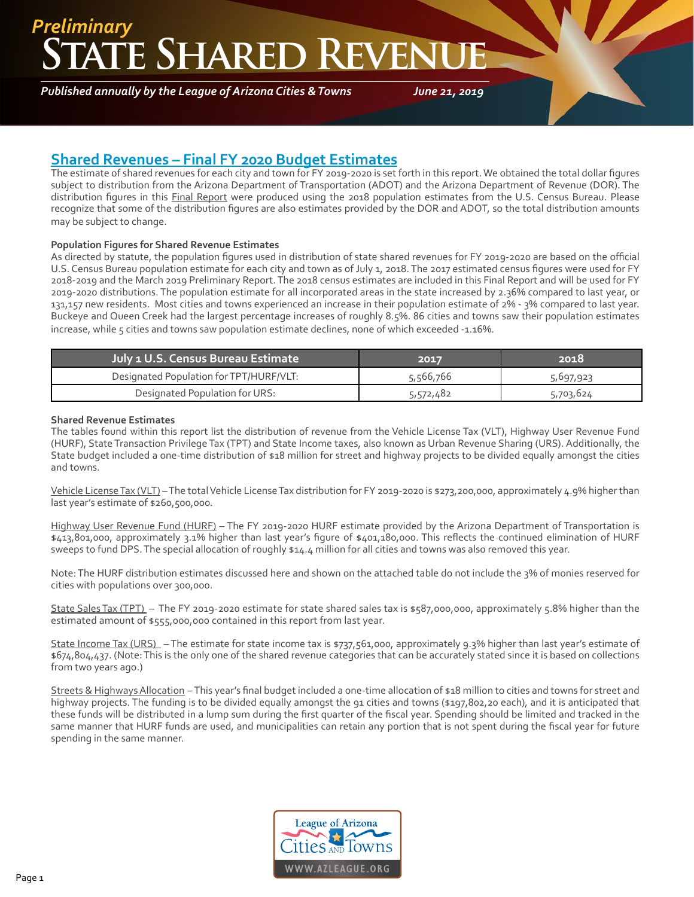### **TE SHARED REVEN** *Preliminary*

*Published annually by the League of Arizona Cities & Towns*

*June 21, 2019*

### **Shared Revenues – Final FY 2020 Budget Estimates**

The estimate of shared revenues for each city and town for FY 2019-2020 is set forth in this report. We obtained the total dollar figures subject to distribution from the Arizona Department of Transportation (ADOT) and the Arizona Department of Revenue (DOR). The distribution figures in this Final Report were produced using the 2018 population estimates from the U.S. Census Bureau. Please recognize that some of the distribution figures are also estimates provided by the DOR and ADOT, so the total distribution amounts may be subject to change.

#### **Population Figures for Shared Revenue Estimates**

As directed by statute, the population figures used in distribution of state shared revenues for FY 2019-2020 are based on the official U.S. Census Bureau population estimate for each city and town as of July 1, 2018. The 2017 estimated census figures were used for FY 2018-2019 and the March 2019 Preliminary Report. The 2018 census estimates are included in this Final Report and will be used for FY 2019-2020 distributions. The population estimate for all incorporated areas in the state increased by 2.36% compared to last year, or 131,157 new residents. Most cities and towns experienced an increase in their population estimate of 2% - 3% compared to last year. Buckeye and Queen Creek had the largest percentage increases of roughly 8.5%. 86 cities and towns saw their population estimates increase, while 5 cities and towns saw population estimate declines, none of which exceeded -1.16%.

| July 1 U.S. Census Bureau Estimate      | 2017      | 2018      |
|-----------------------------------------|-----------|-----------|
| Designated Population for TPT/HURF/VLT: | 5,566,766 | 5,697,923 |
| Designated Population for URS:          | 5,572,482 | 5,703,624 |

#### **Shared Revenue Estimates**

The tables found within this report list the distribution of revenue from the Vehicle License Tax (VLT), Highway User Revenue Fund (HURF), State Transaction Privilege Tax (TPT) and State Income taxes, also known as Urban Revenue Sharing (URS). Additionally, the State budget included a one-time distribution of \$18 million for street and highway projects to be divided equally amongst the cities and towns.

Vehicle License Tax (VLT) – The total Vehicle License Tax distribution for FY 2019-2020 is \$273,200,000, approximately 4.9% higher than last year's estimate of \$260,500,000.

Highway User Revenue Fund (HURF) – The FY 2019-2020 HURF estimate provided by the Arizona Department of Transportation is \$413,801,000, approximately 3.1% higher than last year's figure of \$401,180,000. This reflects the continued elimination of HURF sweeps to fund DPS. The special allocation of roughly \$14.4 million for all cities and towns was also removed this year.

Note: The HURF distribution estimates discussed here and shown on the attached table do not include the 3% of monies reserved for cities with populations over 300,000.

State Sales Tax (TPT) - The FY 2019-2020 estimate for state shared sales tax is \$587,000,000, approximately 5.8% higher than the estimated amount of \$555,000,000 contained in this report from last year.

State Income Tax (URS) – The estimate for state income tax is \$737,561,000, approximately 9.3% higher than last year's estimate of \$674,804,437. (Note: This is the only one of the shared revenue categories that can be accurately stated since it is based on collections from two years ago.)

Streets & Highways Allocation – This year's final budget included a one-time allocation of \$18 million to cities and towns for street and highway projects. The funding is to be divided equally amongst the 91 cities and towns (\$197,802,20 each), and it is anticipated that these funds will be distributed in a lump sum during the first quarter of the fiscal year. Spending should be limited and tracked in the same manner that HURF funds are used, and municipalities can retain any portion that is not spent during the fiscal year for future spending in the same manner.

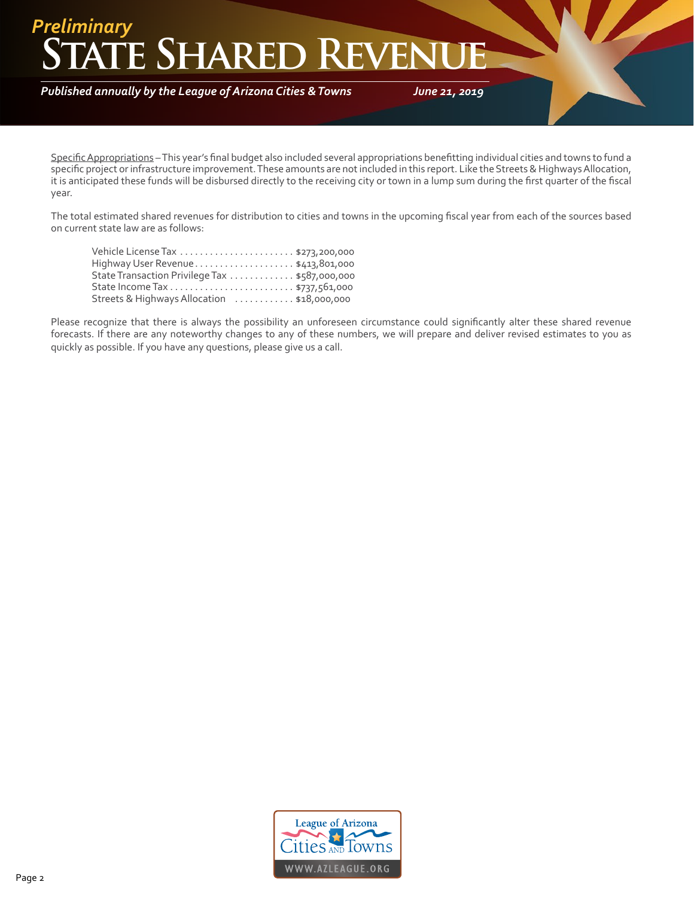## **TE SHARED REVEN** *Preliminary*

*Published annually by the League of Arizona Cities & Towns*

*June 21, 2019*

Specific Appropriations - This year's final budget also included several appropriations benefitting individual cities and towns to fund a specific project or infrastructure improvement. These amounts are not included in this report. Like the Streets & Highways Allocation, it is anticipated these funds will be disbursed directly to the receiving city or town in a lump sum during the first quarter of the fiscal year.

The total estimated shared revenues for distribution to cities and towns in the upcoming fiscal year from each of the sources based on current state law are as follows:

| Highway User Revenue\$413,801,000             |  |
|-----------------------------------------------|--|
| State Transaction Privilege Tax \$587,000,000 |  |
|                                               |  |
| Streets & Highways Allocation  \$18,000,000   |  |

Please recognize that there is always the possibility an unforeseen circumstance could significantly alter these shared revenue forecasts. If there are any noteworthy changes to any of these numbers, we will prepare and deliver revised estimates to you as quickly as possible. If you have any questions, please give us a call.

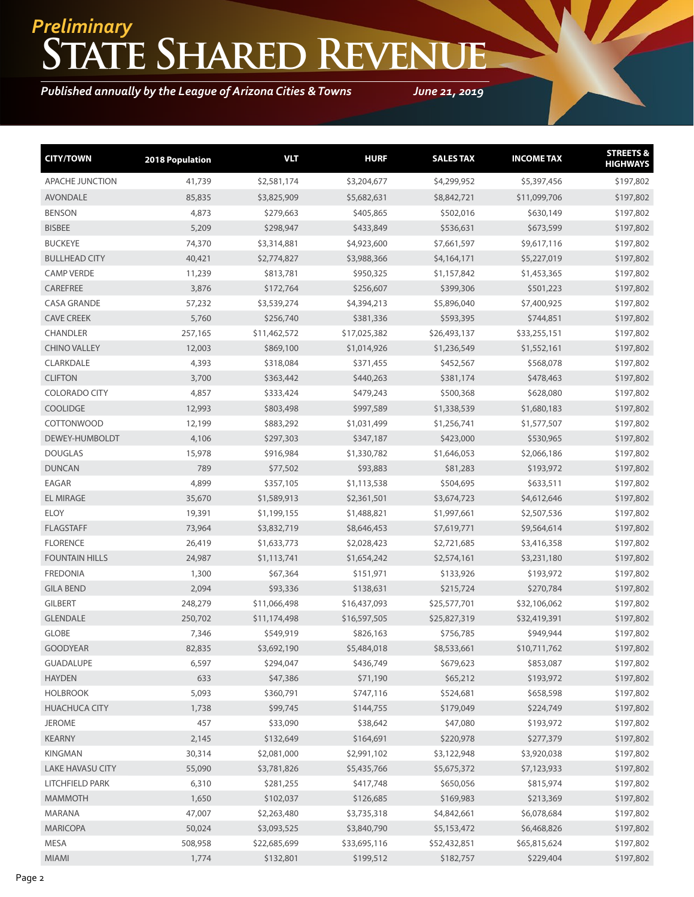## **State Shared Revenue** *Preliminary*

#### *Published annually by the League of Arizona Cities & Towns*

*June 21, 2019*

| <b>CITY/TOWN</b>       | 2018 Population | <b>VLT</b>   | <b>HURF</b>  | <b>SALES TAX</b> | <b>INCOME TAX</b> | <b>STREETS &amp;</b><br><b>HIGHWAYS</b> |
|------------------------|-----------------|--------------|--------------|------------------|-------------------|-----------------------------------------|
| <b>APACHE JUNCTION</b> | 41,739          | \$2,581,174  | \$3,204,677  | \$4,299,952      | \$5,397,456       | \$197,802                               |
| <b>AVONDALE</b>        | 85,835          | \$3,825,909  | \$5,682,631  | \$8,842,721      | \$11,099,706      | \$197,802                               |
| <b>BENSON</b>          | 4,873           | \$279,663    | \$405,865    | \$502,016        | \$630,149         | \$197,802                               |
| <b>BISBEE</b>          | 5,209           | \$298,947    | \$433,849    | \$536,631        | \$673,599         | \$197,802                               |
| <b>BUCKEYE</b>         | 74,370          | \$3,314,881  | \$4,923,600  | \$7,661,597      | \$9,617,116       | \$197,802                               |
| <b>BULLHEAD CITY</b>   | 40,421          | \$2,774,827  | \$3,988,366  | \$4,164,171      | \$5,227,019       | \$197,802                               |
| <b>CAMP VERDE</b>      | 11,239          | \$813,781    | \$950,325    | \$1,157,842      | \$1,453,365       | \$197,802                               |
| CAREFREE               | 3,876           | \$172,764    | \$256,607    | \$399,306        | \$501,223         | \$197,802                               |
| <b>CASA GRANDE</b>     | 57,232          | \$3,539,274  | \$4,394,213  | \$5,896,040      | \$7,400,925       | \$197,802                               |
| <b>CAVE CREEK</b>      | 5,760           | \$256,740    | \$381,336    | \$593,395        | \$744,851         | \$197,802                               |
| CHANDLER               | 257,165         | \$11,462,572 | \$17,025,382 | \$26,493,137     | \$33,255,151      | \$197,802                               |
| <b>CHINO VALLEY</b>    | 12,003          | \$869,100    | \$1,014,926  | \$1,236,549      | \$1,552,161       | \$197,802                               |
| CLARKDALE              | 4,393           | \$318,084    | \$371,455    | \$452,567        | \$568,078         | \$197,802                               |
| <b>CLIFTON</b>         | 3,700           | \$363,442    | \$440,263    | \$381,174        | \$478,463         | \$197,802                               |
| <b>COLORADO CITY</b>   | 4,857           | \$333,424    | \$479,243    | \$500,368        | \$628,080         | \$197,802                               |
| <b>COOLIDGE</b>        | 12,993          | \$803,498    | \$997,589    | \$1,338,539      | \$1,680,183       | \$197,802                               |
| COTTONWOOD             | 12,199          | \$883,292    | \$1,031,499  | \$1,256,741      | \$1,577,507       | \$197,802                               |
| DEWEY-HUMBOLDT         | 4,106           | \$297,303    | \$347,187    | \$423,000        | \$530,965         | \$197,802                               |
| <b>DOUGLAS</b>         | 15,978          | \$916,984    | \$1,330,782  | \$1,646,053      | \$2,066,186       | \$197,802                               |
| <b>DUNCAN</b>          | 789             | \$77,502     | \$93,883     | \$81,283         | \$193,972         | \$197,802                               |
| EAGAR                  | 4,899           | \$357,105    | \$1,113,538  | \$504,695        | \$633,511         | \$197,802                               |
| <b>EL MIRAGE</b>       | 35,670          | \$1,589,913  | \$2,361,501  | \$3,674,723      | \$4,612,646       | \$197,802                               |
| <b>ELOY</b>            | 19,391          | \$1,199,155  | \$1,488,821  | \$1,997,661      | \$2,507,536       | \$197,802                               |
| <b>FLAGSTAFF</b>       | 73,964          | \$3,832,719  | \$8,646,453  | \$7,619,771      | \$9,564,614       | \$197,802                               |
| <b>FLORENCE</b>        | 26,419          | \$1,633,773  | \$2,028,423  | \$2,721,685      | \$3,416,358       | \$197,802                               |
| <b>FOUNTAIN HILLS</b>  | 24,987          | \$1,113,741  | \$1,654,242  | \$2,574,161      | \$3,231,180       | \$197,802                               |
| <b>FREDONIA</b>        | 1,300           | \$67,364     | \$151,971    | \$133,926        | \$193,972         | \$197,802                               |
| <b>GILA BEND</b>       | 2,094           | \$93,336     | \$138,631    | \$215,724        | \$270,784         | \$197,802                               |
| <b>GILBERT</b>         | 248,279         | \$11,066,498 | \$16,437,093 | \$25,577,701     | \$32,106,062      | \$197,802                               |
| <b>GLENDALE</b>        | 250,702         | \$11,174,498 | \$16,597,505 | \$25,827,319     | \$32,419,391      | \$197,802                               |
| <b>GLOBE</b>           | 7,346           | \$549,919    | \$826,163    | \$756,785        | \$949,944         | \$197,802                               |
| <b>GOODYEAR</b>        | 82,835          | \$3,692,190  | \$5,484,018  | \$8,533,661      | \$10,711,762      | \$197,802                               |
| <b>GUADALUPE</b>       | 6,597           | \$294,047    | \$436,749    | \$679,623        | \$853,087         | \$197,802                               |
| <b>HAYDEN</b>          | 633             | \$47,386     | \$71,190     | \$65,212         | \$193,972         | \$197,802                               |
| <b>HOLBROOK</b>        | 5,093           | \$360,791    | \$747,116    | \$524,681        | \$658,598         | \$197,802                               |
| <b>HUACHUCA CITY</b>   | 1,738           | \$99,745     | \$144,755    | \$179,049        | \$224,749         | \$197,802                               |
| <b>JEROME</b>          | 457             | \$33,090     | \$38,642     | \$47,080         | \$193,972         | \$197,802                               |
| <b>KEARNY</b>          | 2,145           | \$132,649    | \$164,691    | \$220,978        | \$277,379         | \$197,802                               |
| <b>KINGMAN</b>         | 30,314          | \$2,081,000  | \$2,991,102  | \$3,122,948      | \$3,920,038       | \$197,802                               |
| LAKE HAVASU CITY       | 55,090          | \$3,781,826  | \$5,435,766  | \$5,675,372      | \$7,123,933       | \$197,802                               |
| LITCHFIELD PARK        | 6,310           | \$281,255    | \$417,748    | \$650,056        | \$815,974         | \$197,802                               |
| <b>MAMMOTH</b>         | 1,650           | \$102,037    | \$126,685    | \$169,983        | \$213,369         | \$197,802                               |
| MARANA                 | 47,007          | \$2,263,480  | \$3,735,318  | \$4,842,661      | \$6,078,684       | \$197,802                               |
| <b>MARICOPA</b>        | 50,024          | \$3,093,525  | \$3,840,790  | \$5,153,472      | \$6,468,826       | \$197,802                               |
| MESA                   | 508,958         | \$22,685,699 | \$33,695,116 | \$52,432,851     | \$65,815,624      | \$197,802                               |
| MIAMI                  | 1,774           | \$132,801    | \$199,512    | \$182,757        | \$229,404         | \$197,802                               |